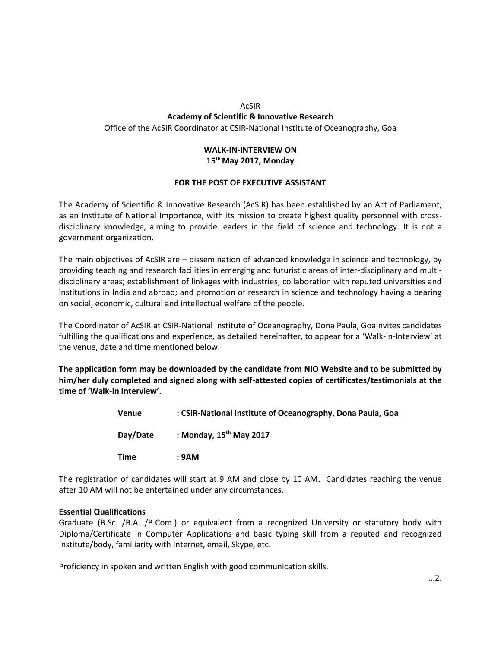## AcSIR **Academy of Scientific & Innovative Research** Office of the AcSIR Coordinator at CSIR-National Institute of Oceanography, Goa

# **WALK-IN-INTERVIEW ON 15th May 2017, Monday**

## **FOR THE POST OF EXECUTIVE ASSISTANT**

The Academy of Scientific & Innovative Research (AcSIR) has been established by an Act of Parliament, as an Institute of National Importance, with its mission to create highest quality personnel with crossdisciplinary knowledge, aiming to provide leaders in the field of science and technology. It is not a government organization.

The main objectives of AcSIR are – dissemination of advanced knowledge in science and technology, by providing teaching and research facilities in emerging and futuristic areas of inter-disciplinary and multidisciplinary areas; establishment of linkages with industries; collaboration with reputed universities and institutions in India and abroad; and promotion of research in science and technology having a bearing on social, economic, cultural and intellectual welfare of the people.

The Coordinator of AcSIR at CSIR-National Institute of Oceanography, Dona Paula, Goainvites candidates fulfilling the qualifications and experience, as detailed hereinafter, to appear for a 'Walk-in-Interview' at the venue, date and time mentioned below.

**The application form may be downloaded by the candidate from NIO Website and to be submitted by him/her duly completed and signed along with self-attested copies of certificates/testimonials at the time of 'Walk-in Interview'.**

| Venue    | : CSIR-National Institute of Oceanography, Dona Paula, Goa |
|----------|------------------------------------------------------------|
| Day/Date | : Monday, $15^{th}$ May 2017                               |
| Time     | : 9AM                                                      |

The registration of candidates will start at 9 AM and close by 10 AM**.** Candidates reaching the venue after 10 AM will not be entertained under any circumstances.

## **Essential Qualifications**

Graduate (B.Sc. /B.A. /B.Com.) or equivalent from a recognized University or statutory body with Diploma/Certificate in Computer Applications and basic typing skill from a reputed and recognized Institute/body, familiarity with Internet, email, Skype, etc.

Proficiency in spoken and written English with good communication skills.